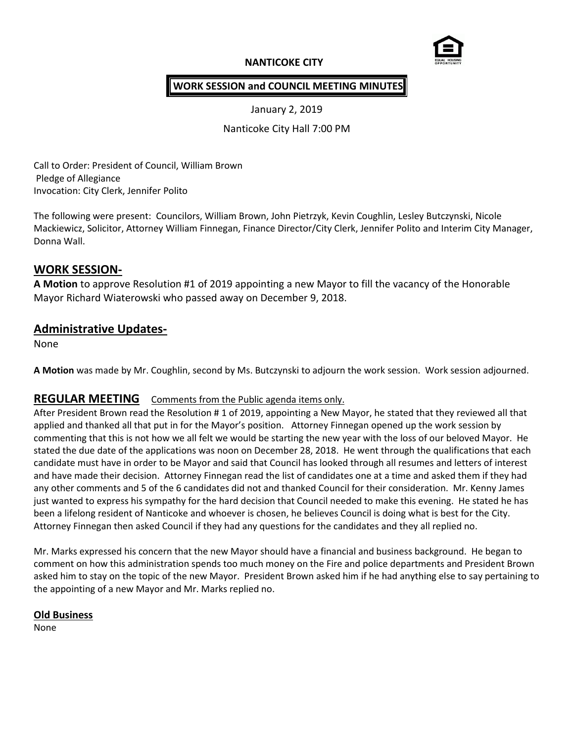## **NANTICOKE CITY**



## **WORK SESSION and COUNCIL MEETING MINUTES**

January 2, 2019

Nanticoke City Hall 7:00 PM

Call to Order: President of Council, William Brown Pledge of Allegiance Invocation: City Clerk, Jennifer Polito

The following were present: Councilors, William Brown, John Pietrzyk, Kevin Coughlin, Lesley Butczynski, Nicole Mackiewicz, Solicitor, Attorney William Finnegan, Finance Director/City Clerk, Jennifer Polito and Interim City Manager, Donna Wall.

## **WORK SESSION-**

**A Motion** to approve Resolution #1 of 2019 appointing a new Mayor to fill the vacancy of the Honorable Mayor Richard Wiaterowski who passed away on December 9, 2018.

# **Administrative Updates-**

None

**A Motion** was made by Mr. Coughlin, second by Ms. Butczynski to adjourn the work session. Work session adjourned.

### **REGULAR MEETING** Comments from the Public agenda items only.

After President Brown read the Resolution # 1 of 2019, appointing a New Mayor, he stated that they reviewed all that applied and thanked all that put in for the Mayor's position. Attorney Finnegan opened up the work session by commenting that this is not how we all felt we would be starting the new year with the loss of our beloved Mayor. He stated the due date of the applications was noon on December 28, 2018. He went through the qualifications that each candidate must have in order to be Mayor and said that Council has looked through all resumes and letters of interest and have made their decision. Attorney Finnegan read the list of candidates one at a time and asked them if they had any other comments and 5 of the 6 candidates did not and thanked Council for their consideration. Mr. Kenny James just wanted to express his sympathy for the hard decision that Council needed to make this evening. He stated he has been a lifelong resident of Nanticoke and whoever is chosen, he believes Council is doing what is best for the City. Attorney Finnegan then asked Council if they had any questions for the candidates and they all replied no.

Mr. Marks expressed his concern that the new Mayor should have a financial and business background. He began to comment on how this administration spends too much money on the Fire and police departments and President Brown asked him to stay on the topic of the new Mayor. President Brown asked him if he had anything else to say pertaining to the appointing of a new Mayor and Mr. Marks replied no.

#### **Old Business**

None